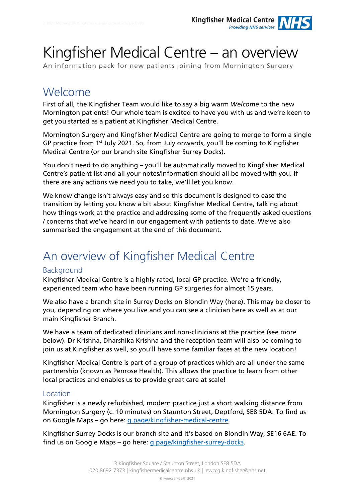# Kingfisher Medical Centre – an overview

An information pack for new patients joining from Mornington Surgery

### Welcome

First of all, the Kingfisher Team would like to say a big warm *Welcome* to the new Mornington patients! Our whole team is excited to have you with us and we're keen to get you started as a patient at Kingfisher Medical Centre.

Mornington Surgery and Kingfisher Medical Centre are going to merge to form a single GP practice from 1<sup>st</sup> July 2021. So, from July onwards, you'll be coming to Kingfisher Medical Centre (or our branch site Kingfisher Surrey Docks).

You don't need to do anything – you'll be automatically moved to Kingfisher Medical Centre's patient list and all your notes/information should all be moved with you. If there are any actions we need you to take, we'll let you know.

We know change isn't always easy and so this document is designed to ease the transition by letting you know a bit about Kingfisher Medical Centre, talking about how things work at the practice and addressing some of the frequently asked questions / concerns that we've heard in our engagement with patients to date. We've also summarised the engagement at the end of this document.

## An overview of Kingfisher Medical Centre

#### **Background**

Kingfisher Medical Centre is a highly rated, local GP practice. We're a friendly, experienced team who have been running GP surgeries for almost 15 years.

We also have a branch site in Surrey Docks on Blondin Way (here). This may be closer to you, depending on where you live and you can see a clinician here as well as at our main Kingfisher Branch.

We have a team of dedicated clinicians and non-clinicians at the practice (see more below). Dr Krishna, Dharshika Krishna and the reception team will also be coming to join us at Kingfisher as well, so you'll have some familiar faces at the new location!

Kingfisher Medical Centre is part of a group of practices which are all under the same partnership (known as Penrose Health). This allows the practice to learn from other local practices and enables us to provide great care at scale!

#### Location

Kingfisher is a newly refurbished, modern practice just a short walking distance from Mornington Surgery (c. 10 minutes) on Staunton Street, Deptford, SE8 5DA. To find us on Google Maps – go here: [g.page/kingfisher-medical-centre.](https://g.page/kingfisher-medical-centre?share)

Kingfisher Surrey Docks is our branch site and it's based on Blondin Way, SE16 6AE. To find us on Google Maps – go here: [g.page/kingfisher-surrey-docks.](https://g.page/kingfisher-surrey-docks?share)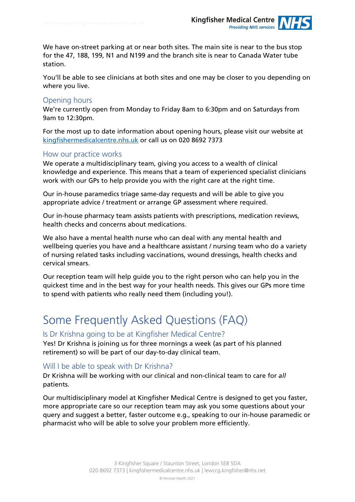We have on-street parking at or near both sites. The main site is near to the bus stop for the 47, 188, 199, N1 and N199 and the branch site is near to Canada Water tube station.

You'll be able to see clinicians at both sites and one may be closer to you depending on where you live.

#### Opening hours

We're currently open from Monday to Friday 8am to 6:30pm and on Saturdays from 9am to 12:30pm.

For the most up to date information about opening hours, please visit our website at [kingfishermedicalcentre.nhs.uk](https://www.kingfishermedicalcentre.nhs.uk/) or call us on 020 8692 7373

#### How our practice works

We operate a multidisciplinary team, giving you access to a wealth of clinical knowledge and experience. This means that a team of experienced specialist clinicians work with our GPs to help provide you with the right care at the right time.

Our in-house paramedics triage same-day requests and will be able to give you appropriate advice / treatment or arrange GP assessment where required.

Our in-house pharmacy team assists patients with prescriptions, medication reviews, health checks and concerns about medications.

We also have a mental health nurse who can deal with any mental health and wellbeing queries you have and a healthcare assistant / nursing team who do a variety of nursing related tasks including vaccinations, wound dressings, health checks and cervical smears.

Our reception team will help guide you to the right person who can help you in the quickest time and in the best way for your health needs. This gives our GPs more time to spend with patients who really need them (including you!).

### Some Frequently Asked Questions (FAQ)

#### Is Dr Krishna going to be at Kingfisher Medical Centre?

Yes! Dr Krishna is joining us for three mornings a week (as part of his planned retirement) so will be part of our day-to-day clinical team.

#### Will I be able to speak with Dr Krishna?

Dr Krishna will be working with our clinical and non-clinical team to care for *all* patients.

Our multidisciplinary model at Kingfisher Medical Centre is designed to get you faster, more appropriate care so our reception team may ask you some questions about your query and suggest a better, faster outcome e.g., speaking to our in-house paramedic or pharmacist who will be able to solve your problem more efficiently.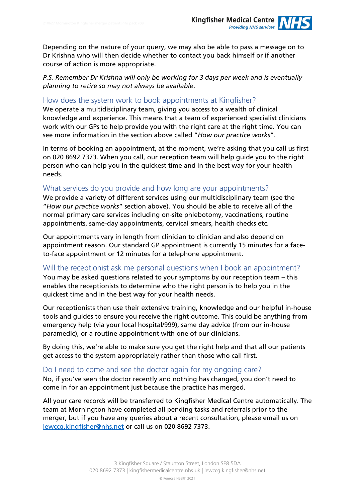Depending on the nature of your query, we may also be able to pass a message on to Dr Krishna who will then decide whether to contact you back himself or if another course of action is more appropriate.

*P.S. Remember Dr Krishna will only be working for 3 days per week and is eventually planning to retire so may not always be available*.

#### How does the system work to book appointments at Kingfisher?

We operate a multidisciplinary team, giving you access to a wealth of clinical knowledge and experience. This means that a team of experienced specialist clinicians work with our GPs to help provide you with the right care at the right time. You can see more information in the section above called "*How our practice works*".

In terms of booking an appointment, at the moment, we're asking that you call us first on 020 8692 7373. When you call, our reception team will help guide you to the right person who can help you in the quickest time and in the best way for your health needs.

#### What services do you provide and how long are your appointments?

We provide a variety of different services using our multidisciplinary team (see the "*How our practice works*" section above). You should be able to receive all of the normal primary care services including on-site phlebotomy, vaccinations, routine appointments, same-day appointments, cervical smears, health checks etc.

Our appointments vary in length from clinician to clinician and also depend on appointment reason. Our standard GP appointment is currently 15 minutes for a faceto-face appointment or 12 minutes for a telephone appointment.

Will the receptionist ask me personal questions when I book an appointment? You may be asked questions related to your symptoms by our reception team – this enables the receptionists to determine who the right person is to help you in the quickest time and in the best way for your health needs.

Our receptionists then use their extensive training, knowledge and our helpful in-house tools and guides to ensure you receive the right outcome. This could be anything from emergency help (via your local hospital/999), same day advice (from our in-house paramedic), or a routine appointment with one of our clinicians.

By doing this, we're able to make sure you get the right help and that all our patients get access to the system appropriately rather than those who call first.

#### Do I need to come and see the doctor again for my ongoing care?

No, if you've seen the doctor recently and nothing has changed, you don't need to come in for an appointment just because the practice has merged.

All your care records will be transferred to Kingfisher Medical Centre automatically. The team at Mornington have completed all pending tasks and referrals prior to the merger, but if you have any queries about a recent consultation, please email us on [lewccg.kingfisher@nhs.net](mailto:lewccg.kingfisher@nhs.net) or call us on 020 8692 7373.